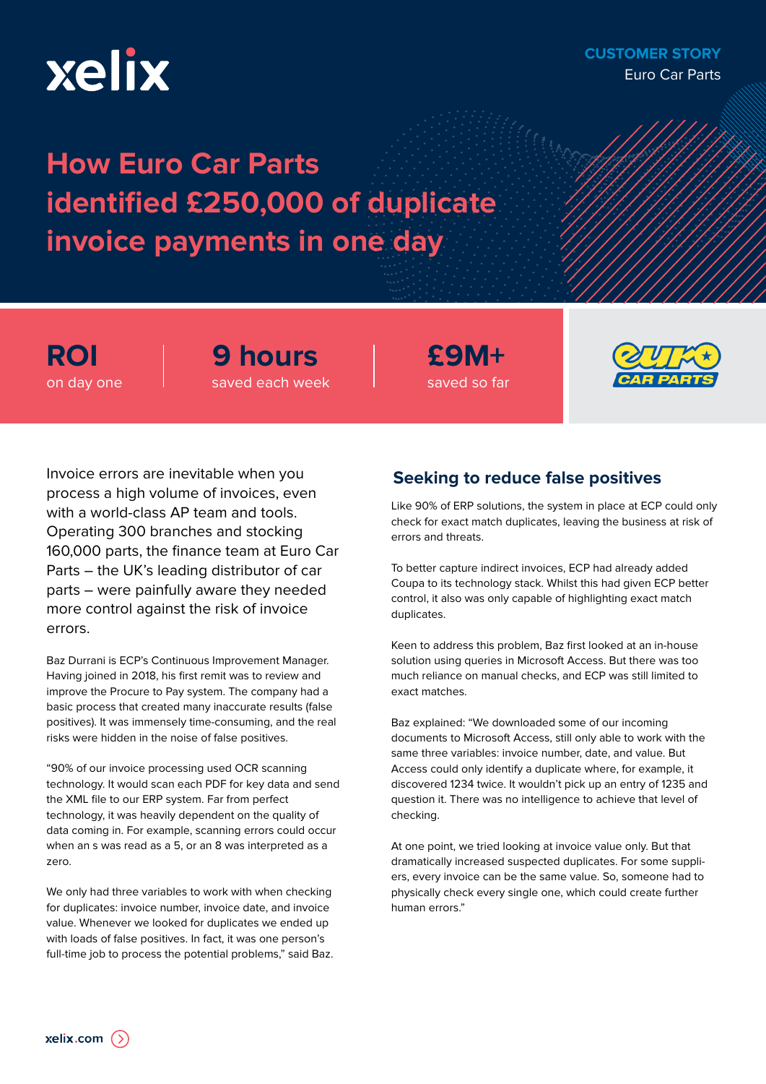# xelix

## **CUSTOMER STORY** Euro Car Parts

# **How Euro Car Parts identified £250,000 of duplicate invoice payments in one day**

**ROI** on day one **9 hours** saved each week

**£9M+** saved so far



Invoice errors are inevitable when you process a high volume of invoices, even with a world-class AP team and tools. Operating 300 branches and stocking 160,000 parts, the finance team at Euro Car Parts – the UK's leading distributor of car parts – were painfully aware they needed more control against the risk of invoice errors.

Baz Durrani is ECP's Continuous Improvement Manager. Having joined in 2018, his first remit was to review and improve the Procure to Pay system. The company had a basic process that created many inaccurate results (false positives). It was immensely time-consuming, and the real risks were hidden in the noise of false positives.

"90% of our invoice processing used OCR scanning technology. It would scan each PDF for key data and send the XML file to our ERP system. Far from perfect technology, it was heavily dependent on the quality of data coming in. For example, scanning errors could occur when an s was read as a 5, or an 8 was interpreted as a zero.

We only had three variables to work with when checking for duplicates: invoice number, invoice date, and invoice value. Whenever we looked for duplicates we ended up with loads of false positives. In fact, it was one person's full-time job to process the potential problems," said Baz.

# **Seeking to reduce false positives**

Like 90% of ERP solutions, the system in place at ECP could only check for exact match duplicates, leaving the business at risk of errors and threats.

To better capture indirect invoices, ECP had already added Coupa to its technology stack. Whilst this had given ECP better control, it also was only capable of highlighting exact match duplicates.

Keen to address this problem, Baz first looked at an in-house solution using queries in Microsoft Access. But there was too much reliance on manual checks, and ECP was still limited to exact matches.

Baz explained: "We downloaded some of our incoming documents to Microsoft Access, still only able to work with the same three variables: invoice number, date, and value. But Access could only identify a duplicate where, for example, it discovered 1234 twice. It wouldn't pick up an entry of 1235 and question it. There was no intelligence to achieve that level of checking.

At one point, we tried looking at invoice value only. But that dramatically increased suspected duplicates. For some suppliers, every invoice can be the same value. So, someone had to physically check every single one, which could create further human errors."